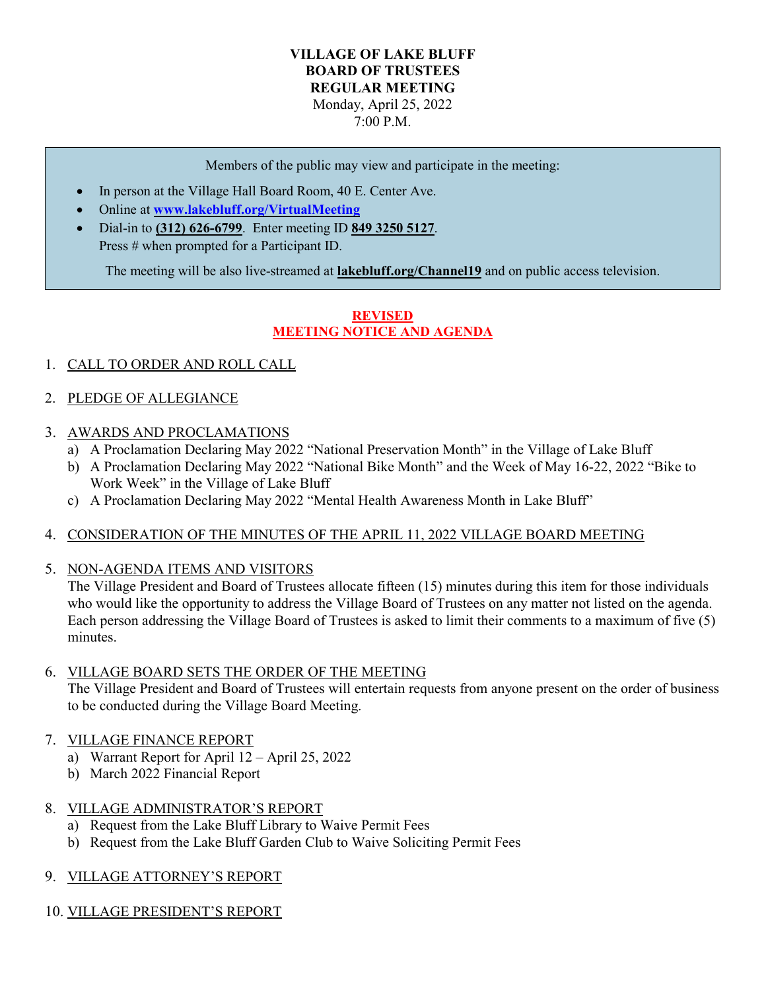#### **VILLAGE OF LAKE BLUFF BOARD OF TRUSTEES REGULAR MEETING** Monday, April 25, 2022 7:00 P.M.

Members of the public may view and participate in the meeting:

- In person at the Village Hall Board Room, 40 E. Center Ave.
- Online at **[www.lakebluff.org/VirtualMeeting](http://www.lakebluff.org/VirtualMeeting)**
- Dial-in to **(312) 626-6799**. Enter meeting ID **849 3250 5127**. Press # when prompted for a Participant ID.

The meeting will be also live-streamed at **lakebluff.org/Channel19** and on public access television.

### **REVISED MEETING NOTICE AND AGENDA**

- 1. CALL TO ORDER AND ROLL CALL
- 2. PLEDGE OF ALLEGIANCE
- 3. AWARDS AND PROCLAMATIONS
	- a) A Proclamation Declaring May 2022 "National Preservation Month" in the Village of Lake Bluff
	- b) A Proclamation Declaring May 2022 "National Bike Month" and the Week of May 16-22, 2022 "Bike to Work Week" in the Village of Lake Bluff
	- c) A Proclamation Declaring May 2022 "Mental Health Awareness Month in Lake Bluff"

#### 4. CONSIDERATION OF THE MINUTES OF THE APRIL 11, 2022 VILLAGE BOARD MEETING

5. NON-AGENDA ITEMS AND VISITORS

The Village President and Board of Trustees allocate fifteen (15) minutes during this item for those individuals who would like the opportunity to address the Village Board of Trustees on any matter not listed on the agenda. Each person addressing the Village Board of Trustees is asked to limit their comments to a maximum of five (5) minutes.

- 6. VILLAGE BOARD SETS THE ORDER OF THE MEETING The Village President and Board of Trustees will entertain requests from anyone present on the order of business to be conducted during the Village Board Meeting.
- 7. VILLAGE FINANCE REPORT
	- a) Warrant Report for April 12 April 25, 2022
	- b) March 2022 Financial Report

# 8. VILLAGE ADMINISTRATOR'S REPORT

- a) Request from the Lake Bluff Library to Waive Permit Fees
- b) Request from the Lake Bluff Garden Club to Waive Soliciting Permit Fees

# 9. VILLAGE ATTORNEY'S REPORT

10. VILLAGE PRESIDENT'S REPORT